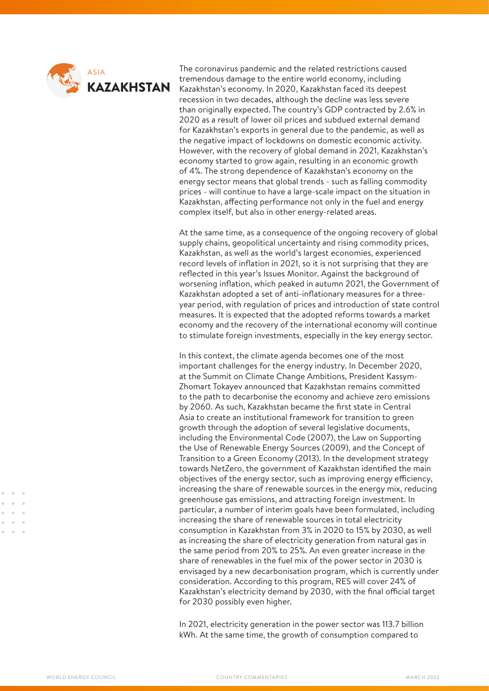

The coronavirus pandemic and the related restrictions caused tremendous damage to the entire world economy, including Kazakhstan's economy. In 2020, Kazakhstan faced its deepest recession in two decades, although the decline was less severe than originally expected. The country's GDP contracted by 2.6% in 2020 as a result of lower oil prices and subdued external demand for Kazakhstan's exports in general due to the pandemic, as well as the negative impact of lockdowns on domestic economic activity. However, with the recovery of global demand in 2021, Kazakhstan's economy started to grow again, resulting in an economic growth of 4%. The strong dependence of Kazakhstan's economy on the energy sector means that global trends - such as falling commodity prices - will continue to have a large-scale impact on the situation in Kazakhstan, affecting performance not only in the fuel and energy complex itself, but also in other energy-related areas.

At the same time, as a consequence of the ongoing recovery of global supply chains, geopolitical uncertainty and rising commodity prices, Kazakhstan, as well as the world's largest economies, experienced record levels of inflation in 2021, so it is not surprising that they are reflected in this year's Issues Monitor. Against the background of worsening inflation, which peaked in autumn 2021, the Government of Kazakhstan adopted a set of anti-inflationary measures for a threeyear period, with regulation of prices and introduction of state control measures. It is expected that the adopted reforms towards a market economy and the recovery of the international economy will continue to stimulate foreign investments, especially in the key energy sector.

In this context, the climate agenda becomes one of the most important challenges for the energy industry. In December 2020, at the Summit on Climate Change Ambitions, President Kassym-Zhomart Tokayev announced that Kazakhstan remains committed to the path to decarbonise the economy and achieve zero emissions by 2060. As such, Kazakhstan became the first state in Central Asia to create an institutional framework for transition to green growth through the adoption of several legislative documents, including the Environmental Code (2007), the Law on Supporting the Use of Renewable Energy Sources (2009), and the Concept of Transition to a Green Economy (2013). In the development strategy towards NetZero, the government of Kazakhstan identified the main objectives of the energy sector, such as improving energy efficiency, increasing the share of renewable sources in the energy mix, reducing greenhouse gas emissions, and attracting foreign investment. In particular, a number of interim goals have been formulated, including increasing the share of renewable sources in total electricity consumption in Kazakhstan from 3% in 2020 to 15% by 2030, as well as increasing the share of electricity generation from natural gas in the same period from 20% to 25%. An even greater increase in the share of renewables in the fuel mix of the power sector in 2030 is envisaged by a new decarbonisation program, which is currently under consideration. According to this program, RES will cover 24% of Kazakhstan's electricity demand by 2030, with the final official target for 2030 possibly even higher.

In 2021, electricity generation in the power sector was 113.7 billion kWh. At the same time, the growth of consumption compared to